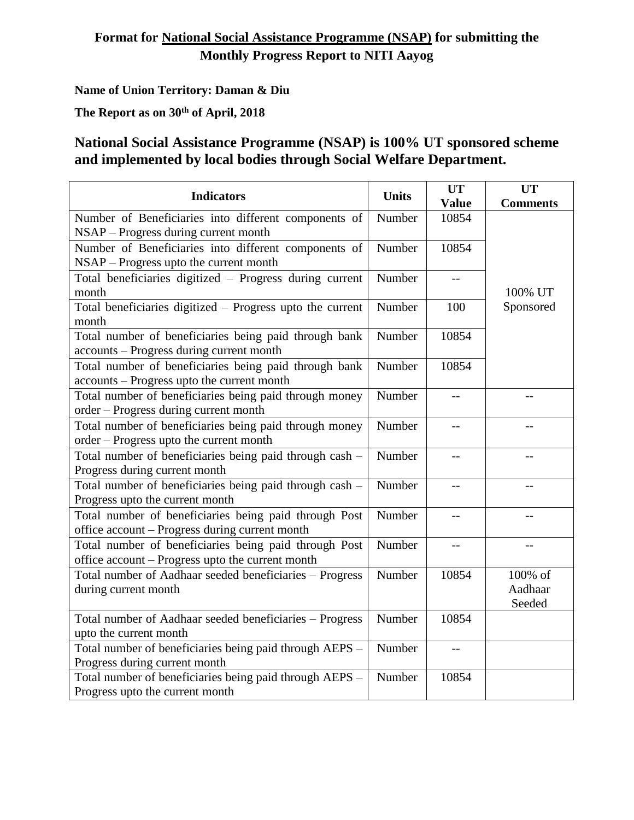## **Format for National Social Assistance Programme (NSAP) for submitting the Monthly Progress Report to NITI Aayog**

**Name of Union Territory: Daman & Diu**

**The Report as on 30th of April, 2018**

## **National Social Assistance Programme (NSAP) is 100% UT sponsored scheme and implemented by local bodies through Social Welfare Department.**

| <b>Indicators</b>                                         | <b>Units</b> | <b>UT</b>    | <b>UT</b>       |
|-----------------------------------------------------------|--------------|--------------|-----------------|
|                                                           |              | <b>Value</b> | <b>Comments</b> |
| Number of Beneficiaries into different components of      | Number       | 10854        |                 |
| NSAP - Progress during current month                      |              |              |                 |
| Number of Beneficiaries into different components of      | Number       | 10854        |                 |
| NSAP – Progress upto the current month                    |              |              |                 |
| Total beneficiaries digitized - Progress during current   | Number       | $-$          |                 |
| month                                                     |              |              | 100% UT         |
| Total beneficiaries digitized – Progress upto the current | Number       | 100          | Sponsored       |
| month                                                     |              |              |                 |
| Total number of beneficiaries being paid through bank     | Number       | 10854        |                 |
| accounts - Progress during current month                  |              |              |                 |
| Total number of beneficiaries being paid through bank     | Number       | 10854        |                 |
| accounts - Progress upto the current month                |              |              |                 |
| Total number of beneficiaries being paid through money    | Number       | $-$          |                 |
| order - Progress during current month                     |              |              |                 |
| Total number of beneficiaries being paid through money    | Number       | $-$          | $-$             |
| order - Progress upto the current month                   |              |              |                 |
| Total number of beneficiaries being paid through cash -   | Number       | $-$          |                 |
| Progress during current month                             |              |              |                 |
| Total number of beneficiaries being paid through cash -   | Number       | $-$          | $-$             |
| Progress upto the current month                           |              |              |                 |
| Total number of beneficiaries being paid through Post     | Number       | $-$          | $-$             |
| office account - Progress during current month            |              |              |                 |
| Total number of beneficiaries being paid through Post     | Number       | $-$          |                 |
| office account - Progress upto the current month          |              |              |                 |
| Total number of Aadhaar seeded beneficiaries - Progress   | Number       | 10854        | 100% of         |
| during current month                                      |              |              | Aadhaar         |
|                                                           |              |              | Seeded          |
| Total number of Aadhaar seeded beneficiaries - Progress   | Number       | 10854        |                 |
| upto the current month                                    |              |              |                 |
| Total number of beneficiaries being paid through AEPS -   | Number       | $-$          |                 |
| Progress during current month                             |              |              |                 |
| Total number of beneficiaries being paid through AEPS -   | Number       | 10854        |                 |
| Progress upto the current month                           |              |              |                 |